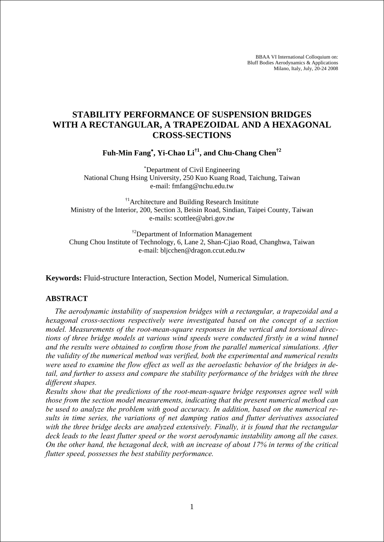BBAA VI International Colloquium on: Bluff Bodies Aerodynamics & Applications Milano, Italy, July, 20-24 2008

# **STABILITY PERFORMANCE OF SUSPENSION BRIDGES WITH A RECTANGULAR, A TRAPEZOIDAL AND A HEXAGONAL CROSS-SECTIONS**

**Fuh-Min Fang**<sup>∗</sup> **, Yi-Chao Li†1, and Chu-Chang Chen†2**

∗ Department of Civil Engineering National Chung Hsing University, 250 Kuo Kuang Road, Taichung, Taiwan e-mail: fmfang@nchu.edu.tw

<sup>†1</sup>Architecture and Building Research Insititute Ministry of the Interior, 200, Section 3, Beisin Road, Sindian, Taipei County, Taiwan e-mails: scottlee@abri.gov.tw

<sup>†2</sup>Department of Information Management Chung Chou Institute of Technology, 6, Lane 2, Shan-Cjiao Road, Changhwa, Taiwan e-mail: bljcchen@dragon.ccut.edu.tw

**Keywords:** Fluid-structure Interaction, Section Model, Numerical Simulation.

# **ABSTRACT**

*The aerodynamic instability of suspension bridges with a rectangular, a trapezoidal and a hexagonal cross-sections respectively were investigated based on the concept of a section model. Measurements of the root-mean-square responses in the vertical and torsional directions of three bridge models at various wind speeds were conducted firstly in a wind tunnel and the results were obtained to confirm those from the parallel numerical simulations. After the validity of the numerical method was verified, both the experimental and numerical results were used to examine the flow effect as well as the aeroelastic behavior of the bridges in detail, and further to assess and compare the stability performance of the bridges with the three different shapes.* 

*Results show that the predictions of the root-mean-square bridge responses agree well with those from the section model measurements, indicating that the present numerical method can be used to analyze the problem with good accuracy. In addition, based on the numerical results in time series, the variations of net damping ratios and flutter derivatives associated*  with the three bridge decks are analyzed extensively. Finally, it is found that the rectangular *deck leads to the least flutter speed or the worst aerodynamic instability among all the cases. On the other hand, the hexagonal deck, with an increase of about 17% in terms of the critical flutter speed, possesses the best stability performance.*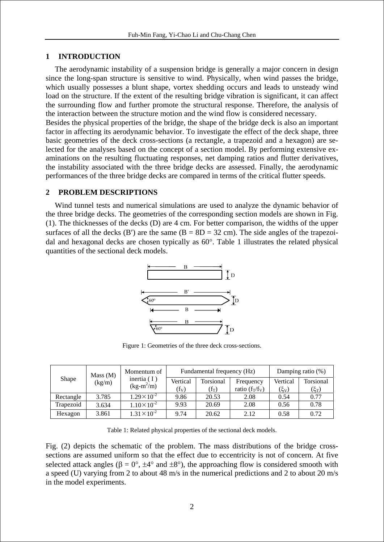## **1 INTRODUCTION**

The aerodynamic instability of a suspension bridge is generally a major concern in design since the long-span structure is sensitive to wind. Physically, when wind passes the bridge, which usually possesses a blunt shape, vortex shedding occurs and leads to unsteady wind load on the structure. If the extent of the resulting bridge vibration is significant, it can affect the surrounding flow and further promote the structural response. Therefore, the analysis of the interaction between the structure motion and the wind flow is considered necessary.

Besides the physical properties of the bridge, the shape of the bridge deck is also an important factor in affecting its aerodynamic behavior. To investigate the effect of the deck shape, three basic geometries of the deck cross-sections (a rectangle, a trapezoid and a hexagon) are selected for the analyses based on the concept of a section model. By performing extensive examinations on the resulting fluctuating responses, net damping ratios and flutter derivatives, the instability associated with the three bridge decks are assessed. Finally, the aerodynamic performances of the three bridge decks are compared in terms of the critical flutter speeds.

## **2 PROBLEM DESCRIPTIONS**

Wind tunnel tests and numerical simulations are used to analyze the dynamic behavior of the three bridge decks. The geometries of the corresponding section models are shown in Fig. (1). The thicknesses of the decks (D) are 4 cm. For better comparison, the widths of the upper surfaces of all the decks (B') are the same  $(B = 8D = 32$  cm). The side angles of the trapezoidal and hexagonal decks are chosen typically as 60°. Table 1 illustrates the related physical quantities of the sectional deck models.



Figure 1: Geometries of the three deck cross-sections.

| Shape     | Mass (M)<br>(kg/m) | Momentum of<br>inertia $(1)$<br>$(kg-m^2/m)$ | Fundamental frequency (Hz) |           |                   | Damping ratio (%) |           |
|-----------|--------------------|----------------------------------------------|----------------------------|-----------|-------------------|-------------------|-----------|
|           |                    |                                              | Vertical                   | Torsional | Frequency         | Vertical          | Torsional |
|           |                    |                                              | $(f_V)$                    | $(f_T)$   | ratio $(f_T/f_V)$ | $(\xi_{\rm V})$   | $(\xi_T)$ |
| Rectangle | 3.785              | $1.29 \times 10^{-2}$                        | 9.86                       | 20.53     | 2.08              | 0.54              | 0.77      |
| Trapezoid | 3.634              | $1.10 \times 10^{-2}$                        | 9.93                       | 20.69     | 2.08              | 0.56              | 0.78      |
| Hexagon   | 3.861              | $1.31 \times 10^{-2}$                        | 9.74                       | 20.62     | 2.12              | 0.58              | 0.72      |

Table 1: Related physical properties of the sectional deck models.

Fig. (2) depicts the schematic of the problem. The mass distributions of the bridge crosssections are assumed uniform so that the effect due to eccentricity is not of concern. At five selected attack angles ( $\beta = 0^{\circ}$ ,  $\pm 4^{\circ}$  and  $\pm 8^{\circ}$ ), the approaching flow is considered smooth with a speed (U) varying from 2 to about 48 m/s in the numerical predictions and 2 to about 20 m/s in the model experiments.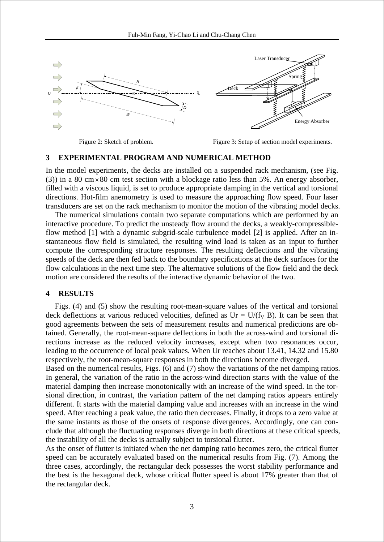

Figure 2: Sketch of problem. Figure 3: Setup of section model experiments.

## **3 EXPERIMENTAL PROGRAM AND NUMERICAL METHOD**

In the model experiments, the decks are installed on a suspended rack mechanism, (see Fig. (3)) in a 80 cm  $\times$  80 cm test section with a blockage ratio less than 5%. An energy absorber, filled with a viscous liquid, is set to produce appropriate damping in the vertical and torsional directions. Hot-film anemometry is used to measure the approaching flow speed. Four laser transducers are set on the rack mechanism to monitor the motion of the vibrating model decks.

The numerical simulations contain two separate computations which are performed by an interactive procedure. To predict the unsteady flow around the decks, a weakly-compressibleflow method [1] with a dynamic subgrid-scale turbulence model [2] is applied. After an instantaneous flow field is simulated, the resulting wind load is taken as an input to further compute the corresponding structure responses. The resulting deflections and the vibrating speeds of the deck are then fed back to the boundary specifications at the deck surfaces for the flow calculations in the next time step. The alternative solutions of the flow field and the deck motion are considered the results of the interactive dynamic behavior of the two.

# **4 RESULTS**

Figs. (4) and (5) show the resulting root-mean-square values of the vertical and torsional deck deflections at various reduced velocities, defined as  $Ur = U/(f_V B)$ . It can be seen that good agreements between the sets of measurement results and numerical predictions are obtained. Generally, the root-mean-square deflections in both the across-wind and torsional directions increase as the reduced velocity increases, except when two resonances occur, leading to the occurrence of local peak values. When Ur reaches about 13.41, 14.32 and 15.80 respectively, the root-mean-square responses in both the directions become diverged.

Based on the numerical results, Figs. (6) and (7) show the variations of the net damping ratios. In general, the variation of the ratio in the across-wind direction starts with the value of the material damping then increase monotonically with an increase of the wind speed. In the torsional direction, in contrast, the variation pattern of the net damping ratios appears entirely different. It starts with the material damping value and increases with an increase in the wind speed. After reaching a peak value, the ratio then decreases. Finally, it drops to a zero value at the same instants as those of the onsets of response divergences. Accordingly, one can conclude that although the fluctuating responses diverge in both directions at these critical speeds, the instability of all the decks is actually subject to torsional flutter.

As the onset of flutter is initiated when the net damping ratio becomes zero, the critical flutter speed can be accurately evaluated based on the numerical results from Fig. (7). Among the three cases, accordingly, the rectangular deck possesses the worst stability performance and the best is the hexagonal deck, whose critical flutter speed is about 17% greater than that of the rectangular deck.